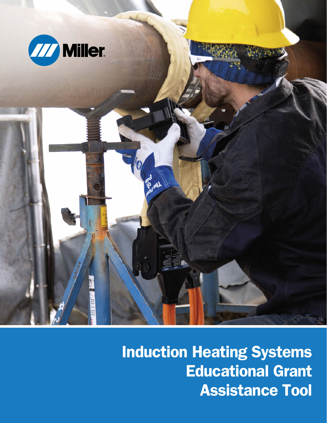

**Induction Heating Systems Educational Grant Assistance Tool**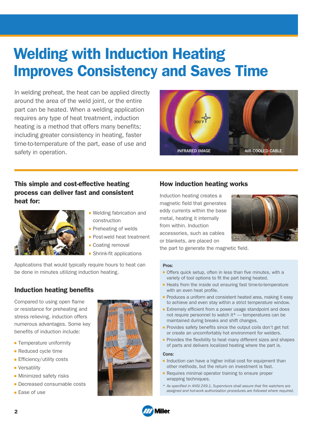# **Welding with Induction Heating Improves Consistency and Saves Time**

In welding preheat, the heat can be applied directly around the area of the weld joint, or the entire part can be heated. When a welding application requires any type of heat treatment, induction heating is a method that offers many benefits; including greater consistency in heating, faster time-to-temperature of the part, ease of use and safety in operation.



# **This simple and cost-effective heating process can deliver fast and consistent heat for:**



- **Welding fabrication and** construction
- **Preheating of welds**
- **Post-weld heat treatment**
- Coating removal
- Shrink-fit applications

Applications that would typically require hours to heat can be done in minutes utilizing induction heating.

# **Induction heating benefits**

Compared to using open flame or resistance for preheating and stress relieving, induction offers numerous advantages. Some key benefits of induction include:

- **Temperature uniformity**
- Reduced cycle time
- **Efficiency/utility costs**
- **Versatility**
- **Minimized safety risks**
- **Decreased consumable costs**
- **Ease of use**



### **How induction heating works**

Induction heating creates a magnetic field that generates eddy currents within the base metal, heating it internally from within. Induction accessories, such as cables or blankets, are placed on



the part to generate the magnetic field.

#### Pros:

- **Offers quick setup, often in less than five minutes, with a** variety of tool options to fit the part being heated.
- Heats from the inside out ensuring fast time-to-temperature with an even heat profile.
- **Produces a uniform and consistent heated area, making it easy** to achieve and even stay within a strict temperature window.
- **Extremely efficient from a power usage standpoint and does** not require personnel to watch it\* — temperatures can be maintained during breaks and shift changes.
- **Provides safety benefits since the output coils don't get hot** or create an uncomfortably hot environment for welders.
- **Provides the flexibility to heat many different sizes and shapes** of parts and delivers localized heating where the part is.

#### Cons:

- Induction can have a higher initial cost for equipment than other methods, but the return on investment is fast.
- **Requires minimal operator training to ensure proper** wrapping techniques.
- \* As specified in ANSI Z49.1, Supervisors shall assure that fire watchers are assigned and hot-work authorization procedures are followed where required.

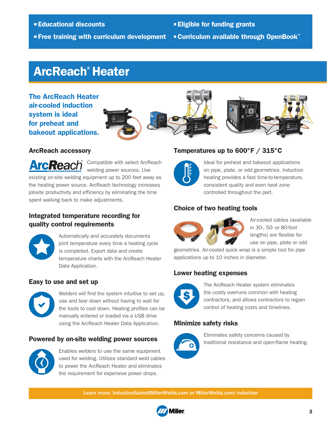**Educational discounts Free training with curriculum development Eligible for funding grants Curriculum available through OpenBook**™

# **ArcReach**®  **Heater**

**The ArcReach Heater air-cooled induction system is ideal for preheat and bakeout applications.**





### **ArcReach accessory**

Compatible with select ArcReach **ArcReach** welding power sources. Use existing on-site welding equipment up to 200 feet away as the heating power source. ArcReach technology increases jobsite productivity and efficiency by eliminating the time spent walking back to make adjustments.

# **Integrated temperature recording for quality control requirements**



Automatically and accurately documents joint temperature every time a heating cycle is completed. Export data and create temperature charts with the ArcReach Heater Data Application.

## **Easy to use and set up**



Welders will find the system intuitive to set up, use and tear down without having to wait for the tools to cool down. Heating profiles can be manually entered or loaded via a USB drive using the ArcReach Heater Data Application.

## **Powered by on-site welding power sources**



Enables welders to use the same equipment used for welding. Utilizes standard weld cables to power the ArcReach Heater and eliminates the requirement for expensive power drops.

# **Temperatures up to 600°F / 315°C**



Ideal for preheat and bakeout applications on pipe, plate, or odd geometries. Induction heating provides a fast time-to-temperature, consistent quality and even heat zone controlled throughout the part.

# **Choice of two heating tools**



Air-cooled cables (available in 30-, 50- or 80-foot lengths) are flexible for use on pipe, plate or odd

geometries. Air-cooled quick wrap is a simple tool for pipe applications up to 10 inches in diameter.

# **Lower heating expenses**



The ArcReach Heater system eliminates the costly overruns common with heating contractors, and allows contractors to regain control of heating costs and timelines.

# **Minimize safety risks**



Eliminates safety concerns caused by traditional resistance and open-flame heating.

Learn more: InductionSales@MillerWelds.com or MillerWelds.com/induction

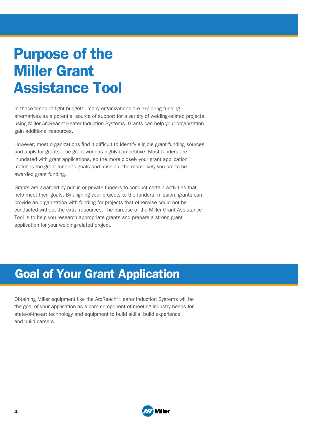# **Purpose of the Miller Grant Assistance Tool**

In these times of tight budgets, many organizations are exploring funding alternatives as a potential source of support for a variety of welding-related projects using Miller ArcReach® Heater Induction Systems. Grants can help your organization gain additional resources.

However, most organizations find it difficult to identify eligible grant funding sources and apply for grants. The grant world is highly competitive. Most funders are inundated with grant applications, so the more closely your grant application matches the grant funder's goals and mission, the more likely you are to be awarded grant funding.

Grants are awarded by public or private funders to conduct certain activities that help meet their goals. By aligning your projects to the funders' mission, grants can provide an organization with funding for projects that otherwise could not be conducted without the extra resources. The purpose of the Miller Grant Assistance Tool is to help you research appropriate grants and prepare a strong grant application for your welding-related project.

# **Goal of Your Grant Application**

Obtaining Miller equipment like the ArcReach®Heater Induction Systems will be the goal of your application as a core component of meeting industry needs for state-of-the-art technology and equipment to build skills, build experience, and build careers.

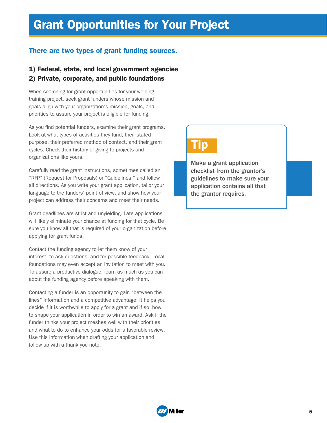# **Grant Opportunities for Your Project**

# **There are two types of grant funding sources.**

### **1) Federal, state, and local government agencies 2) Private, corporate, and public foundations**

When searching for grant opportunities for your welding training project, seek grant funders whose mission and goals align with your organization's mission, goals, and priorities to assure your project is eligible for funding.

As you find potential funders, examine their grant programs. Look at what types of activities they fund, their stated purpose, their preferred method of contact, and their grant cycles. Check their history of giving to projects and organizations like yours.

Carefully read the grant instructions, sometimes called an "RFP" (Request for Proposals) or "Guidelines," and follow all directions. As you write your grant application, tailor your language to the funders' point of view, and show how your project can address their concerns and meet their needs.

Grant deadlines are strict and unyielding. Late applications will likely eliminate your chance at funding for that cycle. Be sure you know all that is required of your organization before applying for grant funds.

Contact the funding agency to let them know of your interest, to ask questions, and for possible feedback. Local foundations may even accept an invitation to meet with you. To assure a productive dialogue, learn as much as you can about the funding agency before speaking with them.

Contacting a funder is an opportunity to gain "between the lines" information and a competitive advantage. It helps you decide if it is worthwhile to apply for a grant and if so, how to shape your application in order to win an award. Ask if the funder thinks your project meshes well with their priorities, and what to do to enhance your odds for a favorable review. Use this information when drafting your application and follow up with a thank you note.

# **Tip**

Make a grant application checklist from the grantor's guidelines to make sure your application contains all that the grantor requires.

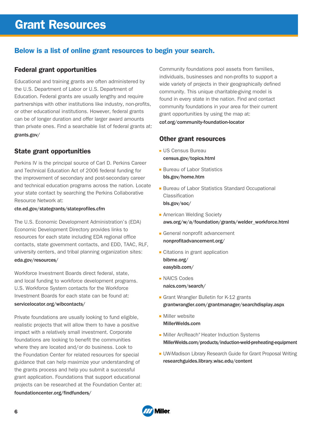# **Below is a list of online grant resources to begin your search.**

### **Federal grant opportunities**

Educational and training grants are often administered by the U.S. Department of Labor or U.S. Department of Education. Federal grants are usually lengthy and require partnerships with other institutions like industry, non-profits, or other educational institutions. However, federal grants can be of longer duration and offer larger award amounts than private ones. Find a searchable list of federal grants at: grants.gov/

## **State grant opportunities**

Perkins IV is the principal source of Carl D. Perkins Career and Technical Education Act of 2006 federal funding for the improvement of secondary and post-secondary career and technical education programs across the nation. Locate your state contact by searching the Perkins Collaborative Resource Network at:

#### cte.ed.gov/stategrants/stateprofiles.cfm

The U.S. Economic Development Administration's (EDA) Economic Development Directory provides links to resources for each state including EDA regional office contacts, state government contacts, and EDD, TAAC, RLF, university centers, and tribal planning organization sites: eda.gov/resources/

Workforce Investment Boards direct federal, state, and local funding to workforce development programs. U.S. Workforce System contacts for the Workforce Investment Boards for each state can be found at:

#### servicelocator.org/wibcontacts/

Private foundations are usually looking to fund eligible, realistic projects that will allow them to have a positive impact with a relatively small investment. Corporate foundations are looking to benefit the communities where they are located and/or do business. Look to the Foundation Center for related resources for special guidance that can help maximize your understanding of the grants process and help you submit a successful grant application. Foundations that support educational projects can be researched at the Foundation Center at: foundationcenter.org/findfunders/

Community foundations pool assets from families, individuals, businesses and non-profits to support a wide variety of projects in their geographically defined community. This unique charitable-giving model is found in every state in the nation. Find and contact community foundations in your area for their current grant opportunities by using the map at:

cof.org/community-foundation-locator

# **Other grant resources**

- **US Census Bureau** census.gov/topics.html
- **Bureau of Labor Statistics** bls.gov/home.htm
- **Bureau of Labor Statistics Standard Occupational** Classification bls.gov/soc/
- **American Welding Society** aws.org/w/a/foundation/grants/welder\_workforce.html
- General nonprofit advancement nonprofitadvancement.org/
- **Citations in grant application** bibme.org/ easybib.com/
- **NAICS Codes** naics.com/search/
- Grant Wrangler Bulletin for K-12 grants grantwrangler.com/grantmanager/searchdisplay.aspx
- **Miller** website MillerWelds.com
- Miller ArcReach® Heater Induction Systems MillerWelds.com/products/induction-weld-preheating-equipment
- **UW-Madison Library Research Guide for Grant Proposal Writing** researchguides.library.wisc.edu/content

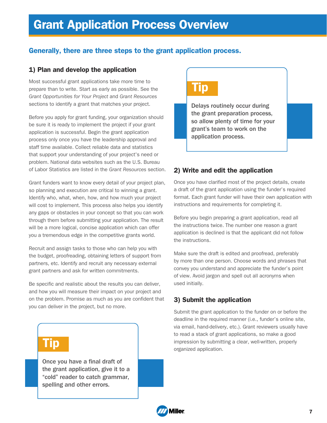# **Generally, there are three steps to the grant application process.**

### **1) Plan and develop the application**

Most successful grant applications take more time to prepare than to write. Start as early as possible. See the Grant Opportunities for Your Project and Grant Resources sections to identify a grant that matches your project.

Before you apply for grant funding, your organization should be sure it is ready to implement the project if your grant application is successful. Begin the grant application process only once you have the leadership approval and staff time available. Collect reliable data and statistics that support your understanding of your project's need or problem. National data websites such as the U.S. Bureau of Labor Statistics are listed in the Grant Resources section.

Grant funders want to know every detail of your project plan, so planning and execution are critical to winning a grant. Identify who, what, when, how, and how much your project will cost to implement. This process also helps you identify any gaps or obstacles in your concept so that you can work through them before submitting your application. The result will be a more logical, concise application which can offer you a tremendous edge in the competitive grants world.

Recruit and assign tasks to those who can help you with the budget, proofreading, obtaining letters of support from partners, etc. Identify and recruit any necessary external grant partners and ask for written commitments.

Be specific and realistic about the results you can deliver, and how you will measure their impact on your project and on the problem. Promise as much as you are confident that you can deliver in the project, but no more.

# **Tip**

Once you have a final draft of the grant application, give it to a "cold" reader to catch grammar, spelling and other errors.

# **Tip**

Delays routinely occur during the grant preparation process, so allow plenty of time for your grant's team to work on the application process.

### **2) Write and edit the application**

Once you have clarified most of the project details, create a draft of the grant application using the funder's required format. Each grant funder will have their own application with instructions and requirements for completing it.

Before you begin preparing a grant application, read all the instructions twice. The number one reason a grant application is declined is that the applicant did not follow the instructions.

Make sure the draft is edited and proofread, preferably by more than one person. Choose words and phrases that convey you understand and appreciate the funder's point of view. Avoid jargon and spell out all acronyms when used initially.

# **3) Submit the application**

Submit the grant application to the funder on or before the deadline in the required manner (i.e., funder's online site, via email, hand-delivery, etc.). Grant reviewers usually have to read a stack of grant applications, so make a good impression by submitting a clear, well-written, properly organized application.